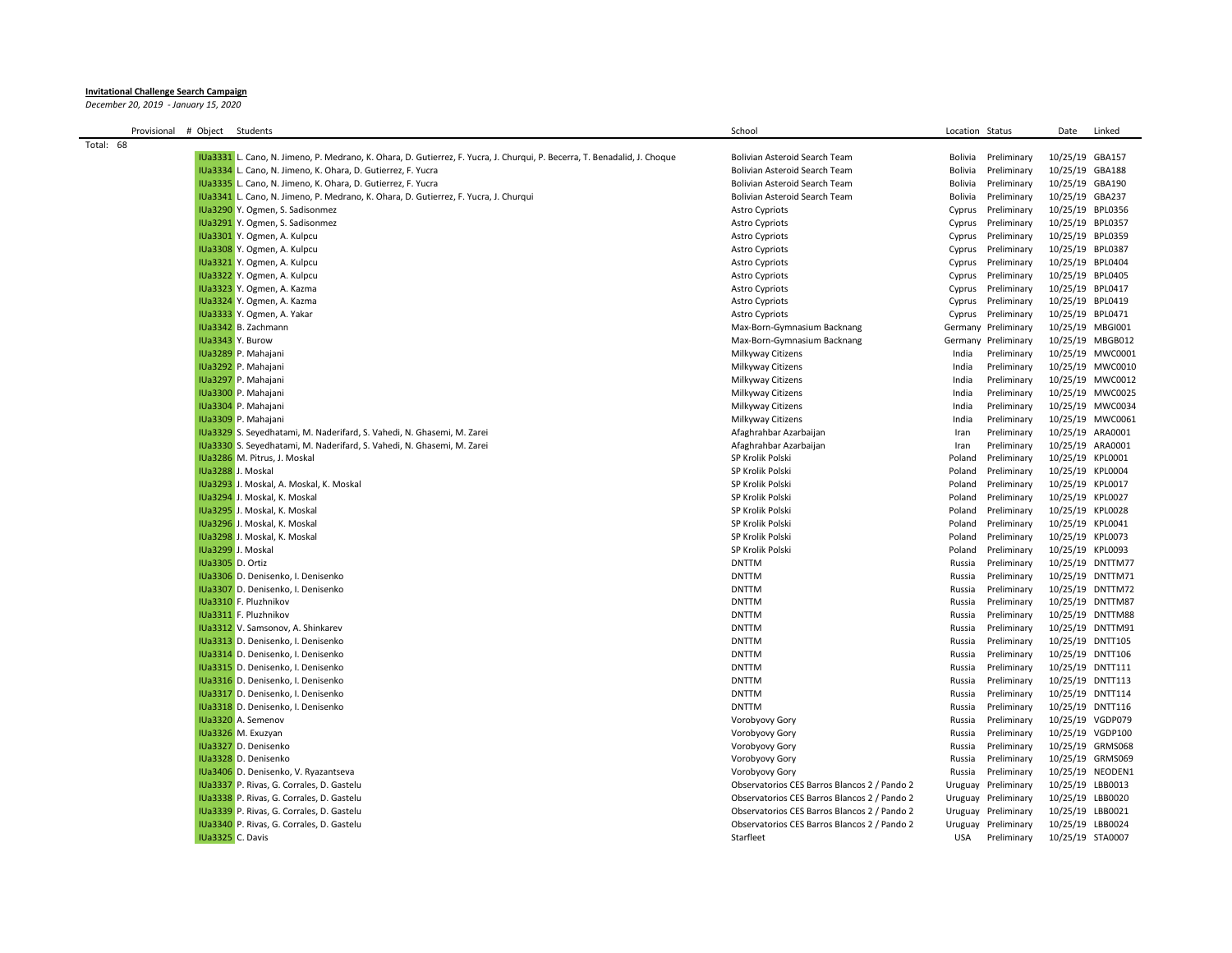## **Invitational Challenge Search Campaign**

*December 20, 2019 - January 15, 2020*

| Provisional | # Object Students |                                                                                                                           | School                                       | Location Status |                     | Date             | Linked           |
|-------------|-------------------|---------------------------------------------------------------------------------------------------------------------------|----------------------------------------------|-----------------|---------------------|------------------|------------------|
| Total: 68   |                   |                                                                                                                           |                                              |                 |                     |                  |                  |
|             |                   | IUa3331 L. Cano, N. Jimeno, P. Medrano, K. Ohara, D. Gutierrez, F. Yucra, J. Churqui, P. Becerra, T. Benadalid, J. Choque | <b>Bolivian Asteroid Search Team</b>         | Bolivia         | Preliminary         | 10/25/19 GBA157  |                  |
|             |                   | IUa3334 L. Cano, N. Jimeno, K. Ohara, D. Gutierrez, F. Yucra                                                              | Bolivian Asteroid Search Team                | Bolivia         | Preliminary         | 10/25/19 GBA188  |                  |
|             |                   | IUa3335 L. Cano, N. Jimeno, K. Ohara, D. Gutierrez, F. Yucra                                                              | Bolivian Asteroid Search Team                | Bolivia         | Preliminary         | 10/25/19 GBA190  |                  |
|             |                   | IUa3341 L. Cano, N. Jimeno, P. Medrano, K. Ohara, D. Gutierrez, F. Yucra, J. Churqui                                      | Bolivian Asteroid Search Team                | Bolivia         | Preliminary         | 10/25/19 GBA237  |                  |
|             |                   | IUa3290 Y. Ogmen, S. Sadisonmez                                                                                           | <b>Astro Cypriots</b>                        | Cyprus          | Preliminary         | 10/25/19 BPL0356 |                  |
|             |                   | IUa3291 Y. Ogmen, S. Sadisonmez                                                                                           | <b>Astro Cypriots</b>                        | Cyprus          | Preliminary         | 10/25/19 BPL0357 |                  |
|             |                   | IUa3301 Y. Ogmen, A. Kulpcu                                                                                               | <b>Astro Cypriots</b>                        | Cyprus          | Preliminary         | 10/25/19 BPL0359 |                  |
|             |                   | IUa3308 Y. Ogmen, A. Kulpcu                                                                                               | <b>Astro Cypriots</b>                        | Cyprus          | Preliminary         | 10/25/19 BPL0387 |                  |
|             |                   | IUa3321 Y. Ogmen, A. Kulpcu                                                                                               | <b>Astro Cypriots</b>                        | Cyprus          | Preliminary         | 10/25/19 BPL0404 |                  |
|             |                   | IUa3322 Y. Ogmen, A. Kulpcu                                                                                               | <b>Astro Cypriots</b>                        | Cyprus          | Preliminary         | 10/25/19 BPL0405 |                  |
|             |                   | IUa3323 Y. Ogmen, A. Kazma                                                                                                | <b>Astro Cypriots</b>                        | Cyprus          | Preliminary         | 10/25/19 BPL0417 |                  |
|             |                   | IUa3324 Y. Ogmen, A. Kazma                                                                                                | <b>Astro Cypriots</b>                        | Cyprus          | Preliminary         | 10/25/19 BPL0419 |                  |
|             |                   | IUa3333 Y. Ogmen, A. Yakar                                                                                                | <b>Astro Cypriots</b>                        | Cyprus          | Preliminary         | 10/25/19 BPL0471 |                  |
|             |                   | IUa3342 B. Zachmann                                                                                                       | Max-Born-Gymnasium Backnang                  | Germany         | Preliminary         |                  | 10/25/19 MBGI001 |
|             |                   | IUa3343 Y. Burow                                                                                                          | Max-Born-Gymnasium Backnang                  | Germany         | Preliminary         |                  | 10/25/19 MBGB012 |
|             |                   | IUa3289 P. Mahajani                                                                                                       | Milkyway Citizens                            | India           | Preliminary         |                  | 10/25/19 MWC0001 |
|             |                   | IUa3292 P. Mahajani                                                                                                       | Milkyway Citizens                            | India           | Preliminary         |                  | 10/25/19 MWC0010 |
|             |                   | IUa3297 P. Mahajani                                                                                                       | Milkyway Citizens                            | India           | Preliminary         |                  | 10/25/19 MWC0012 |
|             |                   | IUa3300 P. Mahajani                                                                                                       | Milkyway Citizens                            | India           | Preliminary         |                  | 10/25/19 MWC0025 |
|             |                   | IUa3304 P. Mahajani                                                                                                       | Milkyway Citizens                            | India           | Preliminary         |                  | 10/25/19 MWC0034 |
|             |                   | IUa3309 P. Mahajani                                                                                                       | Milkyway Citizens                            | India           | Preliminary         |                  | 10/25/19 MWC0061 |
|             |                   | IUa3329 S. Seyedhatami, M. Naderifard, S. Vahedi, N. Ghasemi, M. Zarei                                                    | Afaghrahbar Azarbaijan                       | Iran            | Preliminary         |                  | 10/25/19 ARA0001 |
|             |                   | IUa3330 S. Seyedhatami, M. Naderifard, S. Vahedi, N. Ghasemi, M. Zarei                                                    | Afaghrahbar Azarbaijan                       | Iran            | Preliminary         |                  | 10/25/19 ARA0001 |
|             |                   | IUa3286 M. Pitrus, J. Moskal                                                                                              | SP Krolik Polski                             | Poland          | Preliminary         | 10/25/19 KPL0001 |                  |
|             |                   | IUa3288 J. Moskal                                                                                                         | SP Krolik Polski                             | Poland          | Preliminary         | 10/25/19 KPL0004 |                  |
|             |                   | IUa3293 J. Moskal, A. Moskal, K. Moskal                                                                                   | SP Krolik Polski                             | Poland          | Preliminary         | 10/25/19 KPL0017 |                  |
|             |                   | IUa3294 J. Moskal, K. Moskal                                                                                              | SP Krolik Polski                             | Poland          | Preliminary         | 10/25/19 KPL0027 |                  |
|             |                   | IUa3295 J. Moskal, K. Moskal                                                                                              | SP Krolik Polski                             | Poland          | Preliminary         | 10/25/19 KPL0028 |                  |
|             |                   | IUa3296 J. Moskal, K. Moskal                                                                                              | SP Krolik Polski                             | Poland          | Preliminary         | 10/25/19 KPL0041 |                  |
|             |                   | IUa3298 J. Moskal, K. Moskal                                                                                              | SP Krolik Polski                             | Poland          | Preliminary         | 10/25/19 KPL0073 |                  |
|             |                   | IUa3299 J. Moskal                                                                                                         | SP Krolik Polski                             | Poland          | Preliminary         | 10/25/19 KPL0093 |                  |
|             | IUa3305 D. Ortiz  |                                                                                                                           | <b>DNTTM</b>                                 | Russia          | Preliminary         |                  | 10/25/19 DNTTM77 |
|             |                   | IUa3306 D. Denisenko, I. Denisenko                                                                                        | <b>DNTTM</b>                                 | Russia          | Preliminary         |                  | 10/25/19 DNTTM71 |
|             |                   | IUa3307 D. Denisenko, I. Denisenko                                                                                        | <b>DNTTM</b>                                 | Russia          | Preliminary         |                  | 10/25/19 DNTTM72 |
|             |                   | IUa3310 F. Pluzhnikov                                                                                                     | <b>DNTTM</b>                                 | Russia          | Preliminary         |                  | 10/25/19 DNTTM87 |
|             |                   | IUa3311 F. Pluzhnikov                                                                                                     | <b>DNTTM</b>                                 | Russia          | Preliminary         |                  | 10/25/19 DNTTM88 |
|             |                   | IUa3312 V. Samsonov, A. Shinkarev                                                                                         | <b>DNTTM</b>                                 | Russia          | Preliminary         |                  | 10/25/19 DNTTM91 |
|             |                   | IUa3313 D. Denisenko, I. Denisenko                                                                                        | <b>DNTTM</b>                                 | Russia          | Preliminary         |                  | 10/25/19 DNTT105 |
|             |                   | IUa3314 D. Denisenko, I. Denisenko                                                                                        | <b>DNTTM</b>                                 | Russia          | Preliminary         |                  | 10/25/19 DNTT106 |
|             |                   | IUa3315 D. Denisenko, I. Denisenko                                                                                        | <b>DNTTM</b>                                 | Russia          | Preliminary         |                  | 10/25/19 DNTT111 |
|             |                   | IUa3316 D. Denisenko, I. Denisenko                                                                                        | <b>DNTTM</b>                                 | Russia          | Preliminary         |                  | 10/25/19 DNTT113 |
|             |                   | IUa3317 D. Denisenko, I. Denisenko                                                                                        | <b>DNTTM</b>                                 | Russia          | Preliminary         |                  | 10/25/19 DNTT114 |
|             |                   | IUa3318 D. Denisenko, I. Denisenko                                                                                        | <b>DNTTM</b>                                 | Russia          | Preliminary         |                  | 10/25/19 DNTT116 |
|             |                   | IUa3320 A. Semenov                                                                                                        | Vorobyovy Gory                               | Russia          | Preliminary         |                  | 10/25/19 VGDP079 |
|             |                   | IUa3326 M. Exuzyan                                                                                                        | Vorobyovy Gory                               | Russia          | Preliminary         |                  | 10/25/19 VGDP100 |
|             |                   | IUa3327 D. Denisenko                                                                                                      | Vorobyovy Gory                               | Russia          | Preliminary         |                  | 10/25/19 GRMS068 |
|             |                   | IUa3328 D. Denisenko                                                                                                      | Vorobyovy Gory                               | Russia          | Preliminary         |                  | 10/25/19 GRMS069 |
|             |                   | IUa3406 D. Denisenko, V. Ryazantseva                                                                                      | Vorobyovy Gory                               | Russia          | Preliminary         |                  | 10/25/19 NEODEN1 |
|             |                   | IUa3337 P. Rivas, G. Corrales, D. Gastelu                                                                                 | Observatorios CES Barros Blancos 2 / Pando 2 | Uruguay         | Preliminary         |                  | 10/25/19 LBB0013 |
|             |                   | IUa3338 P. Rivas, G. Corrales, D. Gastelu                                                                                 | Observatorios CES Barros Blancos 2 / Pando 2 | Uruguay         | Preliminary         | 10/25/19 LBB0020 |                  |
|             |                   | IUa3339 P. Rivas, G. Corrales, D. Gastelu                                                                                 | Observatorios CES Barros Blancos 2 / Pando 2 | Uruguay         | Preliminary         | 10/25/19 LBB0021 |                  |
|             |                   | IUa3340 P. Rivas, G. Corrales, D. Gastelu                                                                                 | Observatorios CES Barros Blancos 2 / Pando 2 |                 | Uruguay Preliminary |                  | 10/25/19 LBB0024 |
|             | IUa3325 C. Davis  |                                                                                                                           | Starfleet                                    | <b>USA</b>      | Preliminary         | 10/25/19 STA0007 |                  |
|             |                   |                                                                                                                           |                                              |                 |                     |                  |                  |